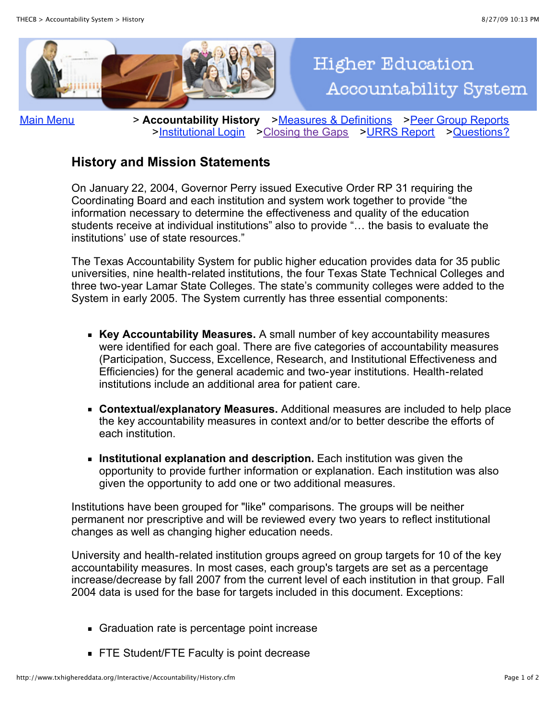

[Main Menu](http://www.txhighereddata.org/Interactive/Accountability/default.cfm) > Accountability History > [Measures & Definitions](http://www.txhighereddata.org/Interactive/Accountability/Measures.cfm) > [Peer Group Reports](http://www.txhighereddata.org/Interactive/Accountability/PeerGroup.cfm) >[Institutional Login](http://www.txhighereddata.org/Interactive/Accountability/Login.cfm) >[Closing the Gaps](http://www.thecb.state.tx.us/ClosingTheGaps) >[URRS Report](http://www.thecb.state.tx.us/index.cfm?objectid=3A4E6CED-BDDE-B576-209C3DB7F68A4ED6&flushcache=1&showdraft=1) >[Questions?](http://www.txhighereddata.org/Comments/)

**Higher Education** 

**Accountability System** 

## **History and Mission Statements**

On January 22, 2004, Governor Perry issued Executive Order RP 31 requiring the Coordinating Board and each institution and system work together to provide "the information necessary to determine the effectiveness and quality of the education students receive at individual institutions" also to provide "… the basis to evaluate the institutions' use of state resources."

The Texas Accountability System for public higher education provides data for 35 public universities, nine health-related institutions, the four Texas State Technical Colleges and three two-year Lamar State Colleges. The state's community colleges were added to the System in early 2005. The System currently has three essential components:

- **Key Accountability Measures.** A small number of key accountability measures were identified for each goal. There are five categories of accountability measures (Participation, Success, Excellence, Research, and Institutional Effectiveness and Efficiencies) for the general academic and two-year institutions. Health-related institutions include an additional area for patient care.
- **Contextual/explanatory Measures.** Additional measures are included to help place the key accountability measures in context and/or to better describe the efforts of each institution.
- **Institutional explanation and description.** Each institution was given the opportunity to provide further information or explanation. Each institution was also given the opportunity to add one or two additional measures.

Institutions have been grouped for "like" comparisons. The groups will be neither permanent nor prescriptive and will be reviewed every two years to reflect institutional changes as well as changing higher education needs.

University and health-related institution groups agreed on group targets for 10 of the key accountability measures. In most cases, each group's targets are set as a percentage increase/decrease by fall 2007 from the current level of each institution in that group. Fall 2004 data is used for the base for targets included in this document. Exceptions:

- Graduation rate is percentage point increase
- **FTE Student/FTE Faculty is point decrease**